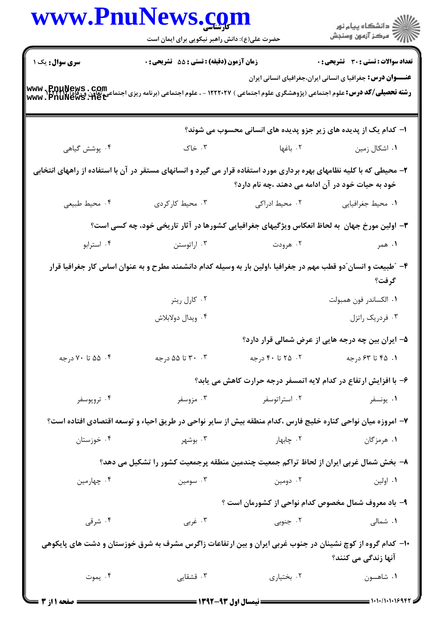|                 | www.PnuNews.com                                                                                                       |                                                     | ر<br>ران دانشگاه پيام نور<br>ران مرکز آزمون وسنجش                 |  |
|-----------------|-----------------------------------------------------------------------------------------------------------------------|-----------------------------------------------------|-------------------------------------------------------------------|--|
|                 | حضرت علی(ع): دانش راهبر نیکویی برای ایمان است                                                                         |                                                     |                                                                   |  |
| سری سوال: یک ۱  | زمان آزمون (دقیقه) : تستی : 55 تشریحی : 0                                                                             |                                                     | <b>تعداد سوالات : تستی : 30 ٪ تشریحی : 0</b>                      |  |
|                 |                                                                                                                       |                                                     | <b>عنـــوان درس:</b> جغرافیا ی انسانی ایران،جغرافیای انسانی ایران |  |
|                 | ۱- کدام یک از پدیده های زیر جزو پدیده های انسانی محسوب می شوند؟                                                       |                                                     |                                                                   |  |
| ۰۴ پوشش گیاهی   | ۰۳ خاک                                                                                                                | ۰۲ باغها                                            | ۰۱ اشکال زمین                                                     |  |
|                 | ۲– محیطی که با کلیه نظامهای بهره برداری مورد استفاده قرار می گیرد و انسانهای مستقر در آن با استفاده از راههای انتخابی | خود به حیات خود در آن ادامه می دهند ،چه نام دارد؟   |                                                                   |  |
| ۰۴ محيط طبيعي   | ۰۳ محیط کارکردی                                                                                                       | ۰۲ محیط ادراکی                                      | ٠١. محيط جغرافيايي                                                |  |
|                 | ۳- اولین مورخ جهان به لحاظ انعکاس ویژگیهای جغرافیایی کشورها در آثار تاریخی خود، چه کسی است؟                           |                                                     |                                                                   |  |
| ۰۴ استرابو      | ۰۳ اراتوستن                                                                                                           | ۰۲ هرودت                                            | ۱. همر                                                            |  |
|                 | ۴– ″طبیعت و انسان ّدو قطب مهم در جغرافیا ،اولین بار به وسیله کدام دانشمند مطرح و به عنوان اساس کار جغرافیا قرار       |                                                     | گرفت؟                                                             |  |
|                 | ۰۲ کارل ریتر                                                                                                          |                                                     | ٠١. الكساندر فون همبولت                                           |  |
|                 | ۰۴ ویدال دولابلاش                                                                                                     |                                                     | ۰۳ فردریک راتزل                                                   |  |
|                 |                                                                                                                       |                                                     | ۵- ایران بین چه درجه هایی از عرض شمالی قرار دارد؟                 |  |
| ۰۴ ۵۵ تا ۷۰درجه | ۰۳ تا ۵۵ درجه                                                                                                         | ۰۲ تا ۴۰ درجه                                       | ۰۱ ۴۵ تا ۶۳ درجه                                                  |  |
|                 |                                                                                                                       |                                                     | ۶- با افزایش ارتفاع در کدام لایه اتمسفر درجه حرارت کاهش می یابد؟  |  |
| ۰۴ تروپوسفر     | ۰۳ مزوسفر                                                                                                             | ۰۲ استراتوسفر                                       | ۰۱ يونسفر                                                         |  |
|                 | ۷– امروزه میان نواحی کناره خلیج فارس ،کدام منطقه بیش از سایر نواحی در طریق احیاء و توسعه اقتصادی افتاده است؟          |                                                     |                                                                   |  |
| ۰۴ خوزستان      | ۰۳ بوشهر                                                                                                              | ۰۲ چابهار                                           | ۱. هرمزگان                                                        |  |
|                 | ۸– بخش شمال غربی ایران از لحاظ تراکم جمعیت چندمین منطقه پرجمعیت کشور را تشکیل می دهد؟                                 |                                                     |                                                                   |  |
| ۰۴ چهارمین      | ۰۳ سومين                                                                                                              | ۰۲ دومین                                            | ۰۱ اولین                                                          |  |
|                 |                                                                                                                       | ۹– باد معروف شمال مخصوص کدام نواحی از کشورمان است ؟ |                                                                   |  |
| ۰۴ شرقی         | ۰۳ غربي                                                                                                               | ۰۲ جنوبی                                            | ۰۱ شمالی                                                          |  |
|                 | +۱- کدام گروه از کوچ نشینان در جنوب غربی ایران و بین ارتفاعات زاگرس مشرف به شرق خوزستان و دشت های پایکوهی             |                                                     | آنها زندگی می کنند؟                                               |  |
| ۰۴ يموت         | ۰۳ قشقایی                                                                                                             | ۰۲ بختیاری                                          | ٠١ شاهسون                                                         |  |
|                 |                                                                                                                       |                                                     |                                                                   |  |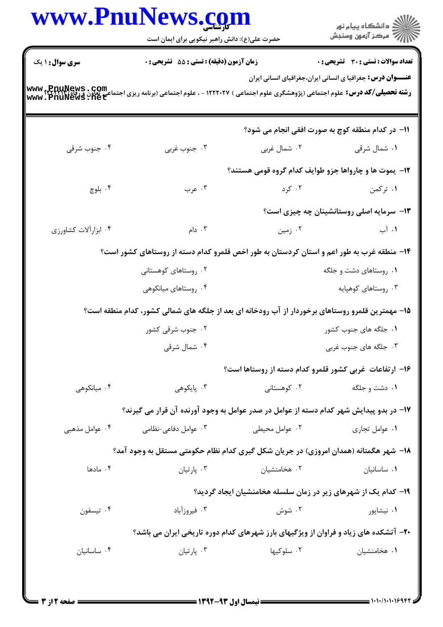| <b>www.PnuNews.co</b>  | حضرت علی(ع): دانش راهبر نیکویی برای ایمان است                                                                                                                          |                                                                | ڪ دانشڪاه پيام نور<br>ر∕⊂ مرڪز آزمون وسنڊش                        |
|------------------------|------------------------------------------------------------------------------------------------------------------------------------------------------------------------|----------------------------------------------------------------|-------------------------------------------------------------------|
| <b>سری سوال : ۱ یک</b> | زمان آزمون (دقيقه) : تستى : 55 آتشريحى : 0                                                                                                                             |                                                                | تعداد سوالات : تستى : 30 ٪ تشريحي : 0                             |
|                        | <b>رشته تحصیلی/کد درس:</b> علوم اجتماعی (پژوهشگری علوم اجتماعی ) ۱۲۲۲۰۲۷ - ، علوم اجتماعی (برنامه ریزی اجتماعی تعاون و رفاه) www ,PnuNews . Com<br>www . PnuNews . net |                                                                | <b>عنـــوان درس:</b> جغرافیا ی انسانی ایران،جغرافیای انسانی ایران |
|                        |                                                                                                                                                                        |                                                                | 11- در کدام منطقه کوچ به صورت افقی انجام می شود؟                  |
| ۰۴ جنوب شرقی           | ۰۳ جنوب غربي                                                                                                                                                           | ۰۲ شمال غربی                                                   | ۰۱ شمال شرقی                                                      |
|                        |                                                                                                                                                                        | ۱۲- یموت ها و چارواها جزو طوایف کدام گروه قومی هستند؟          |                                                                   |
| ۰۴ بلوچ                | ۰۳ عرب                                                                                                                                                                 | ۰۲ کرد                                                         | ۰۱ ترکمن                                                          |
|                        |                                                                                                                                                                        |                                                                | ۱۳- سرمایه اصلی روستانشینان چه چیزی است؟                          |
| ۰۴ ابزارآلات كشاورزى   | ۰۳ دام $\cdot$                                                                                                                                                         | ۰۲ زمین                                                        | ١. آب                                                             |
|                        | ۱۴– منطقه غرب به طور اعم و استان کردستان به طور اخص قلمرو کدام دسته از روستاهای کشور است؟                                                                              |                                                                |                                                                   |
|                        | ۰۲ روستاهای کوهستانی                                                                                                                                                   | ۰۱ روستاهای دشت و جلگه                                         |                                                                   |
|                        | ۰۴ روستاهای میانکوهی                                                                                                                                                   |                                                                | ۰۳ روستاهای کوهپایه                                               |
|                        | ۱۵– مهمترین قلمرو روستاهای برخوردار از آب رودخانه ای بعد از جلگه های شمالی کشور، کدام منطقه است؟                                                                       |                                                                |                                                                   |
|                        | ۰۲ جنوب شرقی کشور                                                                                                                                                      |                                                                | ۰۱ جلگه های جنوب کشور                                             |
|                        | ۰۴ شمال شرقی                                                                                                                                                           |                                                                | ۰۳ جلگه های جنوب غربی                                             |
|                        |                                                                                                                                                                        | ۱۶– ارتفاعات غربی کشور قلمرو کدام دسته از روستاها است؟         |                                                                   |
| ۰۴ میانکوهی            | ۰۳ پایکوه <sub>ی</sub>                                                                                                                                                 | ۰۲ کوهستانی                                                    | ۰۱ دشت و جلگه                                                     |
|                        | ۱۷– در بدو پیدایش شهر کدام دسته از عوامل در صدر عوامل به وجود آورنده آن قرار می گیرند؟                                                                                 |                                                                |                                                                   |
| ۰۴ عوامل مذهبی         | ۰۳ عوامل دفاعی-نظامی                                                                                                                                                   | ۰۲ عوامل محیطی                                                 | ۰۱ عوامل تجاري                                                    |
|                        | ۱۸– شهر هگمتانه (همدان امروزی) در جریان شکل گیری کدام نظام حکومتی مستقل به وجود آمد؟                                                                                   |                                                                |                                                                   |
| ۰۴ مادها               | ۰۳ پارتيان                                                                                                                                                             | ۰۲ هخامنشیان                                                   | ٠١ ساسانيان                                                       |
|                        |                                                                                                                                                                        | ۱۹- کدام یک از شهرهای زیر در زمان سلسله هخامنشیان ایجاد گردید؟ |                                                                   |
| ۰۴ تيسفون              | ۰۳ فیروزآباد                                                                                                                                                           | ۰۲ شوش                                                         | ۰۱ نیشاپور                                                        |
|                        | <b>۴۰</b> - آتشکده های زیاد و فراوان از ویژگیهای بارز شهرهای کدام دوره تاریخی ایران می باشد؟                                                                           |                                                                |                                                                   |
|                        | ۰۳ پارتيان                                                                                                                                                             | ۰۲ سلوکیها                                                     | ۰۱ هخامنشیان                                                      |